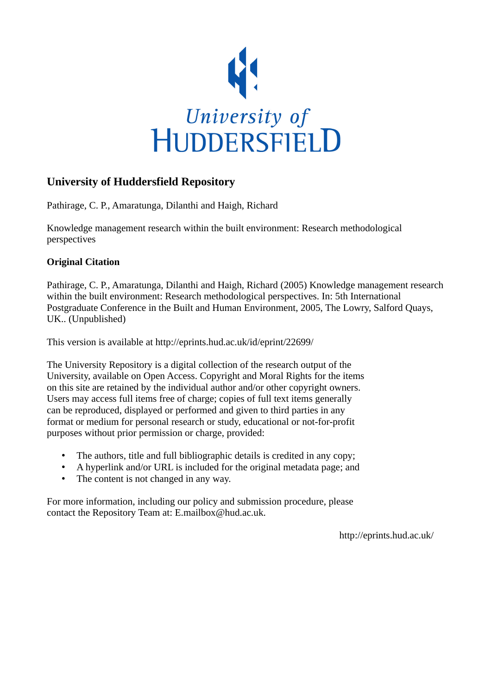

# **University of Huddersfield Repository**

Pathirage, C. P., Amaratunga, Dilanthi and Haigh, Richard

Knowledge management research within the built environment: Research methodological perspectives

### **Original Citation**

Pathirage, C. P., Amaratunga, Dilanthi and Haigh, Richard (2005) Knowledge management research within the built environment: Research methodological perspectives. In: 5th International Postgraduate Conference in the Built and Human Environment, 2005, The Lowry, Salford Quays, UK.. (Unpublished)

This version is available at http://eprints.hud.ac.uk/id/eprint/22699/

The University Repository is a digital collection of the research output of the University, available on Open Access. Copyright and Moral Rights for the items on this site are retained by the individual author and/or other copyright owners. Users may access full items free of charge; copies of full text items generally can be reproduced, displayed or performed and given to third parties in any format or medium for personal research or study, educational or not-for-profit purposes without prior permission or charge, provided:

- The authors, title and full bibliographic details is credited in any copy;
- A hyperlink and/or URL is included for the original metadata page; and
- The content is not changed in any way.

For more information, including our policy and submission procedure, please contact the Repository Team at: E.mailbox@hud.ac.uk.

http://eprints.hud.ac.uk/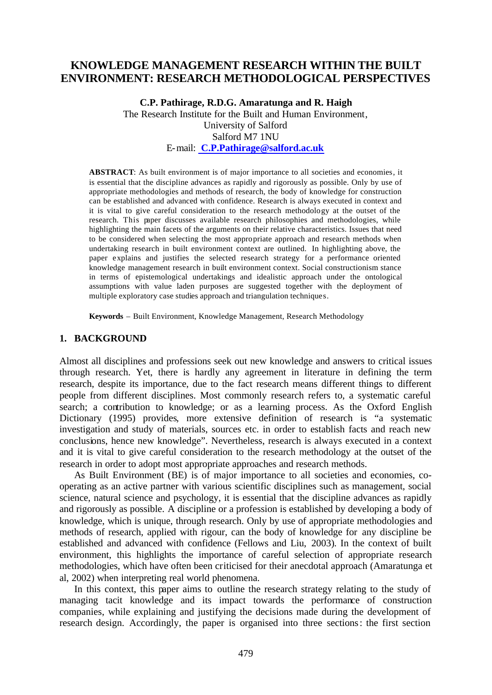### **KNOWLEDGE MANAGEMENT RESEARCH WITHIN THE BUILT ENVIRONMENT: RESEARCH METHODOLOGICAL PERSPECTIVES**

**C.P. Pathirage, R.D.G. Amaratunga and R. Haigh** The Research Institute for the Built and Human Environment, University of Salford Salford M7 1NU E-mail: **C.P.Pathirage@salford.ac.uk**

**ABSTRACT**: As built environment is of major importance to all societies and economies, it is essential that the discipline advances as rapidly and rigorously as possible. Only by use of appropriate methodologies and methods of research, the body of knowledge for construction can be established and advanced with confidence. Research is always executed in context and it is vital to give careful consideration to the research methodology at the outset of the research. This paper discusses available research philosophies and methodologies, while highlighting the main facets of the arguments on their relative characteristics. Issues that need to be considered when selecting the most appropriate approach and research methods when undertaking research in built environment context are outlined. In highlighting above, the paper explains and justifies the selected research strategy for a performance oriented knowledge management research in built environment context. Social constructionism stance in terms of epistemological undertakings and idealistic approach under the ontological assumptions with value laden purposes are suggested together with the deployment of multiple exploratory case studies approach and triangulation techniques.

**Keywords** – Built Environment, Knowledge Management, Research Methodology

#### **1. BACKGROUND**

Almost all disciplines and professions seek out new knowledge and answers to critical issues through research. Yet, there is hardly any agreement in literature in defining the term research, despite its importance, due to the fact research means different things to different people from different disciplines. Most commonly research refers to, a systematic careful search; a contribution to knowledge; or as a learning process. As the Oxford English Dictionary (1995) provides, more extensive definition of research is "a systematic investigation and study of materials, sources etc. in order to establish facts and reach new conclusions, hence new knowledge". Nevertheless, research is always executed in a context and it is vital to give careful consideration to the research methodology at the outset of the research in order to adopt most appropriate approaches and research methods.

As Built Environment (BE) is of major importance to all societies and economies, cooperating as an active partner with various scientific disciplines such as management, social science, natural science and psychology, it is essential that the discipline advances as rapidly and rigorously as possible. A discipline or a profession is established by developing a body of knowledge, which is unique, through research. Only by use of appropriate methodologies and methods of research, applied with rigour, can the body of knowledge for any discipline be established and advanced with confidence (Fellows and Liu, 2003). In the context of built environment, this highlights the importance of careful selection of appropriate research methodologies, which have often been criticised for their anecdotal approach (Amaratunga et al, 2002) when interpreting real world phenomena.

In this context, this paper aims to outline the research strategy relating to the study of managing tacit knowledge and its impact towards the performance of construction companies, while explaining and justifying the decisions made during the development of research design. Accordingly, the paper is organised into three sections: the first section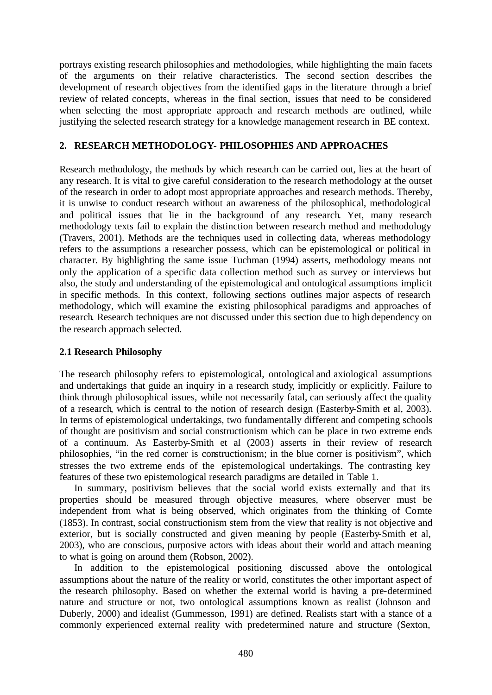portrays existing research philosophies and methodologies, while highlighting the main facets of the arguments on their relative characteristics. The second section describes the development of research objectives from the identified gaps in the literature through a brief review of related concepts, whereas in the final section, issues that need to be considered when selecting the most appropriate approach and research methods are outlined, while justifying the selected research strategy for a knowledge management research in BE context.

### **2. RESEARCH METHODOLOGY- PHILOSOPHIES AND APPROACHES**

Research methodology, the methods by which research can be carried out, lies at the heart of any research. It is vital to give careful consideration to the research methodology at the outset of the research in order to adopt most appropriate approaches and research methods. Thereby, it is unwise to conduct research without an awareness of the philosophical, methodological and political issues that lie in the background of any research. Yet, many research methodology texts fail to explain the distinction between research method and methodology (Travers, 2001). Methods are the techniques used in collecting data, whereas methodology refers to the assumptions a researcher possess, which can be epistemological or political in character. By highlighting the same issue Tuchman (1994) asserts, methodology means not only the application of a specific data collection method such as survey or interviews but also, the study and understanding of the epistemological and ontological assumptions implicit in specific methods. In this context, following sections outlines major aspects of research methodology, which will examine the existing philosophical paradigms and approaches of research. Research techniques are not discussed under this section due to high dependency on the research approach selected.

#### **2.1 Research Philosophy**

The research philosophy refers to epistemological, ontological and axiological assumptions and undertakings that guide an inquiry in a research study, implicitly or explicitly. Failure to think through philosophical issues, while not necessarily fatal, can seriously affect the quality of a research, which is central to the notion of research design (Easterby-Smith et al, 2003). In terms of epistemological undertakings, two fundamentally different and competing schools of thought are positivism and social constructionism which can be place in two extreme ends of a continuum. As Easterby-Smith et al (2003) asserts in their review of research philosophies, "in the red corner is constructionism; in the blue corner is positivism", which stresses the two extreme ends of the epistemological undertakings. The contrasting key features of these two epistemological research paradigms are detailed in Table 1.

In summary, positivism believes that the social world exists externally and that its properties should be measured through objective measures, where observer must be independent from what is being observed, which originates from the thinking of Comte (1853). In contrast, social constructionism stem from the view that reality is not objective and exterior, but is socially constructed and given meaning by people (Easterby-Smith et al, 2003), who are conscious, purposive actors with ideas about their world and attach meaning to what is going on around them (Robson, 2002).

In addition to the epistemological positioning discussed above the ontological assumptions about the nature of the reality or world, constitutes the other important aspect of the research philosophy. Based on whether the external world is having a pre-determined nature and structure or not, two ontological assumptions known as realist (Johnson and Duberly, 2000) and idealist (Gummesson, 1991) are defined. Realists start with a stance of a commonly experienced external reality with predetermined nature and structure (Sexton,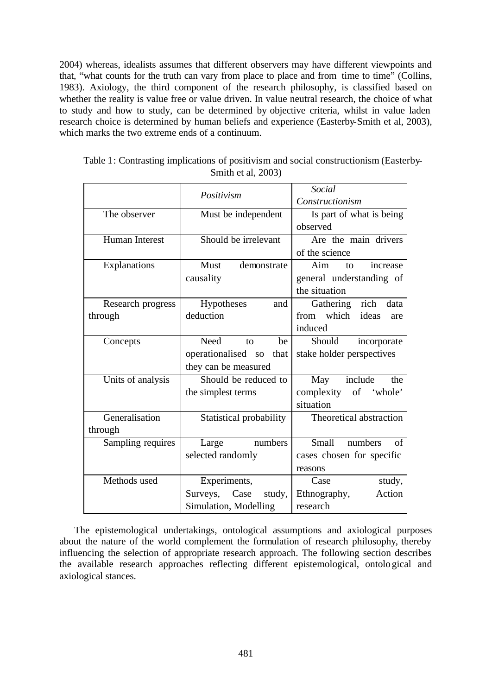2004) whereas, idealists assumes that different observers may have different viewpoints and that, "what counts for the truth can vary from place to place and from time to time" (Collins, 1983). Axiology, the third component of the research philosophy, is classified based on whether the reality is value free or value driven. In value neutral research, the choice of what to study and how to study, can be determined by objective criteria, whilst in value laden research choice is determined by human beliefs and experience (Easterby-Smith et al, 2003), which marks the two extreme ends of a continuum.

|                   | Positivism                                              | Social                        |  |
|-------------------|---------------------------------------------------------|-------------------------------|--|
|                   |                                                         | Constructionism               |  |
| The observer      | Must be independent                                     | Is part of what is being      |  |
|                   |                                                         | observed                      |  |
| Human Interest    | Should be irrelevant                                    | Are the main drivers          |  |
|                   |                                                         | of the science                |  |
| Explanations      | Must<br>demonstrate                                     | Aim<br>increase<br>to         |  |
|                   | causality                                               | general understanding of      |  |
|                   |                                                         | the situation                 |  |
| Research progress | Hypotheses<br>and                                       | Gathering rich data           |  |
| through           | deduction                                               | which<br>ideas<br>from<br>are |  |
|                   |                                                         | induced                       |  |
| Concepts          | Need<br>be<br>to                                        | Should<br>incorporate         |  |
|                   | stake holder perspectives<br>operationalised so<br>that |                               |  |
|                   | they can be measured                                    |                               |  |
| Units of analysis | Should be reduced to<br>include<br>the<br>May           |                               |  |
|                   | the simplest terms                                      | complexity of 'whole'         |  |
|                   |                                                         | situation                     |  |
| Generalisation    | Statistical probability                                 | Theoretical abstraction       |  |
| through           |                                                         |                               |  |
| Sampling requires | numbers<br>Large                                        | Small<br>numbers<br>of        |  |
|                   | selected randomly<br>cases chosen for specific          |                               |  |
|                   |                                                         | reasons                       |  |
| Methods used      | Experiments,                                            | Case<br>study,                |  |
|                   | Surveys,<br>Case<br>study,                              | Action<br>Ethnography,        |  |
|                   | Simulation, Modelling                                   | research                      |  |

Table 1: Contrasting implications of positivism and social constructionism (Easterby-Smith et al, 2003)

The epistemological undertakings, ontological assumptions and axiological purposes about the nature of the world complement the formulation of research philosophy, thereby influencing the selection of appropriate research approach. The following section describes the available research approaches reflecting different epistemological, ontological and axiological stances.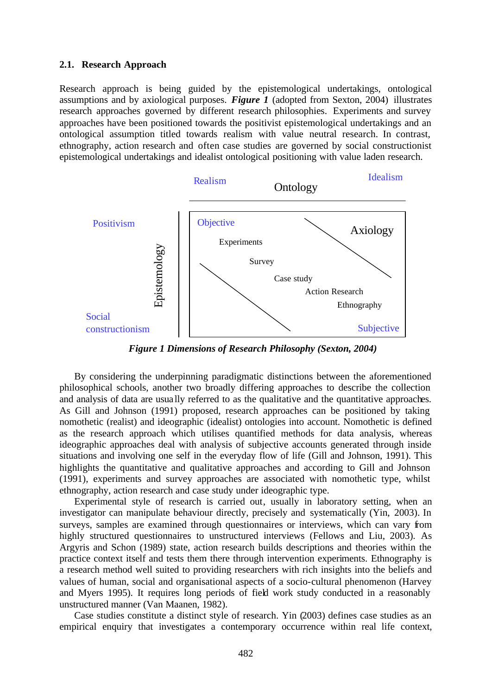#### **2.1. Research Approach**

Research approach is being guided by the epistemological undertakings, ontological assumptions and by axiological purposes. *Figure 1* (adopted from Sexton, 2004) illustrates research approaches governed by different research philosophies. Experiments and survey approaches have been positioned towards the positivist epistemological undertakings and an ontological assumption titled towards realism with value neutral research. In contrast, ethnography, action research and often case studies are governed by social constructionist epistemological undertakings and idealist ontological positioning with value laden research.



*Figure 1 Dimensions of Research Philosophy (Sexton, 2004)*

By considering the underpinning paradigmatic distinctions between the aforementioned philosophical schools, another two broadly differing approaches to describe the collection and analysis of data are usually referred to as the qualitative and the quantitative approaches. As Gill and Johnson (1991) proposed, research approaches can be positioned by taking nomothetic (realist) and ideographic (idealist) ontologies into account. Nomothetic is defined as the research approach which utilises quantified methods for data analysis, whereas ideographic approaches deal with analysis of subjective accounts generated through inside situations and involving one self in the everyday flow of life (Gill and Johnson, 1991). This highlights the quantitative and qualitative approaches and according to Gill and Johnson (1991), experiments and survey approaches are associated with nomothetic type, whilst ethnography, action research and case study under ideographic type.

Experimental style of research is carried out, usually in laboratory setting, when an investigator can manipulate behaviour directly, precisely and systematically (Yin, 2003). In surveys, samples are examined through questionnaires or interviews, which can vary from highly structured questionnaires to unstructured interviews (Fellows and Liu, 2003). As Argyris and Schon (1989) state, action research builds descriptions and theories within the practice context itself and tests them there through intervention experiments. Ethnography is a research method well suited to providing researchers with rich insights into the beliefs and values of human, social and organisational aspects of a socio-cultural phenomenon (Harvey and Myers 1995). It requires long periods of field work study conducted in a reasonably unstructured manner (Van Maanen, 1982).

Case studies constitute a distinct style of research. Yin (2003) defines case studies as an empirical enquiry that investigates a contemporary occurrence within real life context,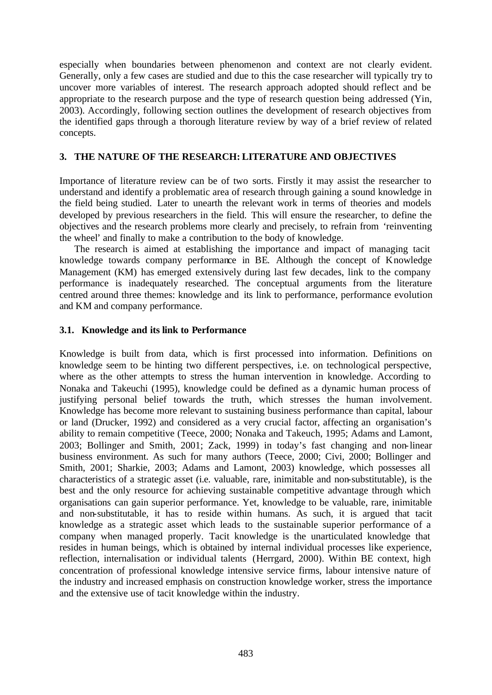especially when boundaries between phenomenon and context are not clearly evident. Generally, only a few cases are studied and due to this the case researcher will typically try to uncover more variables of interest. The research approach adopted should reflect and be appropriate to the research purpose and the type of research question being addressed (Yin, 2003). Accordingly, following section outlines the development of research objectives from the identified gaps through a thorough literature review by way of a brief review of related concepts.

#### **3. THE NATURE OF THE RESEARCH: LITERATURE AND OBJECTIVES**

Importance of literature review can be of two sorts. Firstly it may assist the researcher to understand and identify a problematic area of research through gaining a sound knowledge in the field being studied. Later to unearth the relevant work in terms of theories and models developed by previous researchers in the field. This will ensure the researcher, to define the objectives and the research problems more clearly and precisely, to refrain from 'reinventing the wheel' and finally to make a contribution to the body of knowledge.

The research is aimed at establishing the importance and impact of managing tacit knowledge towards company performance in BE. Although the concept of Knowledge Management (KM) has emerged extensively during last few decades, link to the company performance is inadequately researched. The conceptual arguments from the literature centred around three themes: knowledge and its link to performance, performance evolution and KM and company performance.

#### **3.1. Knowledge and its link to Performance**

Knowledge is built from data, which is first processed into information. Definitions on knowledge seem to be hinting two different perspectives, i.e. on technological perspective, where as the other attempts to stress the human intervention in knowledge. According to Nonaka and Takeuchi (1995), knowledge could be defined as a dynamic human process of justifying personal belief towards the truth, which stresses the human involvement. Knowledge has become more relevant to sustaining business performance than capital, labour or land (Drucker, 1992) and considered as a very crucial factor, affecting an organisation's ability to remain competitive (Teece, 2000; Nonaka and Takeuch, 1995; Adams and Lamont, 2003; Bollinger and Smith, 2001; Zack, 1999) in today's fast changing and non-linear business environment. As such for many authors (Teece, 2000; Civi, 2000; Bollinger and Smith, 2001; Sharkie, 2003; Adams and Lamont, 2003) knowledge, which possesses all characteristics of a strategic asset (i.e. valuable, rare, inimitable and non-substitutable), is the best and the only resource for achieving sustainable competitive advantage through which organisations can gain superior performance. Yet, knowledge to be valuable, rare, inimitable and non-substitutable, it has to reside within humans. As such, it is argued that tacit knowledge as a strategic asset which leads to the sustainable superior performance of a company when managed properly. Tacit knowledge is the unarticulated knowledge that resides in human beings, which is obtained by internal individual processes like experience, reflection, internalisation or individual talents (Herrgard, 2000). Within BE context, high concentration of professional knowledge intensive service firms, labour intensive nature of the industry and increased emphasis on construction knowledge worker, stress the importance and the extensive use of tacit knowledge within the industry.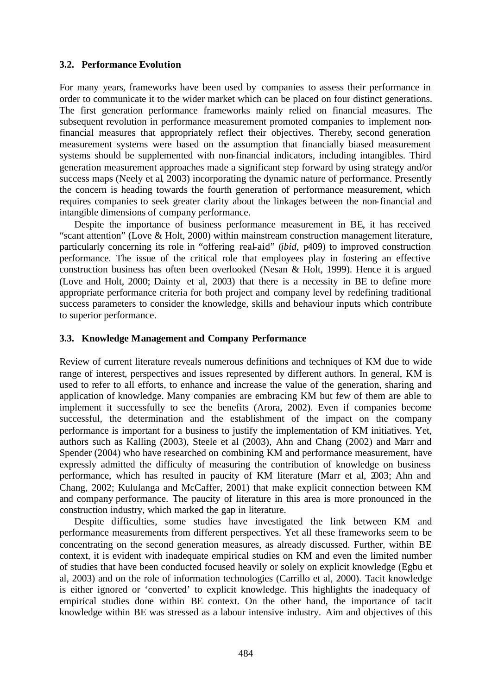#### **3.2. Performance Evolution**

For many years, frameworks have been used by companies to assess their performance in order to communicate it to the wider market which can be placed on four distinct generations. The first generation performance frameworks mainly relied on financial measures. The subsequent revolution in performance measurement promoted companies to implement nonfinancial measures that appropriately reflect their objectives. Thereby, second generation measurement systems were based on the assumption that financially biased measurement systems should be supplemented with non-financial indicators, including intangibles. Third generation measurement approaches made a significant step forward by using strategy and/or success maps (Neely et al, 2003) incorporating the dynamic nature of performance. Presently the concern is heading towards the fourth generation of performance measurement, which requires companies to seek greater clarity about the linkages between the non-financial and intangible dimensions of company performance.

Despite the importance of business performance measurement in BE, it has received "scant attention" (Love & Holt, 2000) within mainstream construction management literature, particularly concerning its role in "offering real-aid" (*ibid*, p409) to improved construction performance. The issue of the critical role that employees play in fostering an effective construction business has often been overlooked (Nesan & Holt, 1999). Hence it is argued (Love and Holt, 2000; Dainty et al, 2003) that there is a necessity in BE to define more appropriate performance criteria for both project and company level by redefining traditional success parameters to consider the knowledge, skills and behaviour inputs which contribute to superior performance.

#### **3.3. Knowledge Management and Company Performance**

Review of current literature reveals numerous definitions and techniques of KM due to wide range of interest, perspectives and issues represented by different authors. In general, KM is used to refer to all efforts, to enhance and increase the value of the generation, sharing and application of knowledge. Many companies are embracing KM but few of them are able to implement it successfully to see the benefits (Arora, 2002). Even if companies become successful, the determination and the establishment of the impact on the company performance is important for a business to justify the implementation of KM initiatives. Yet, authors such as Kalling (2003), Steele et al (2003), Ahn and Chang (2002) and Marr and Spender (2004) who have researched on combining KM and performance measurement, have expressly admitted the difficulty of measuring the contribution of knowledge on business performance, which has resulted in paucity of KM literature (Marr et al, 2003; Ahn and Chang, 2002; Kululanga and McCaffer, 2001) that make explicit connection between KM and company performance. The paucity of literature in this area is more pronounced in the construction industry, which marked the gap in literature.

Despite difficulties, some studies have investigated the link between KM and performance measurements from different perspectives. Yet all these frameworks seem to be concentrating on the second generation measures, as already discussed. Further, within BE context, it is evident with inadequate empirical studies on KM and even the limited number of studies that have been conducted focused heavily or solely on explicit knowledge (Egbu et al, 2003) and on the role of information technologies (Carrillo et al, 2000). Tacit knowledge is either ignored or 'converted' to explicit knowledge. This highlights the inadequacy of empirical studies done within BE context. On the other hand, the importance of tacit knowledge within BE was stressed as a labour intensive industry. Aim and objectives of this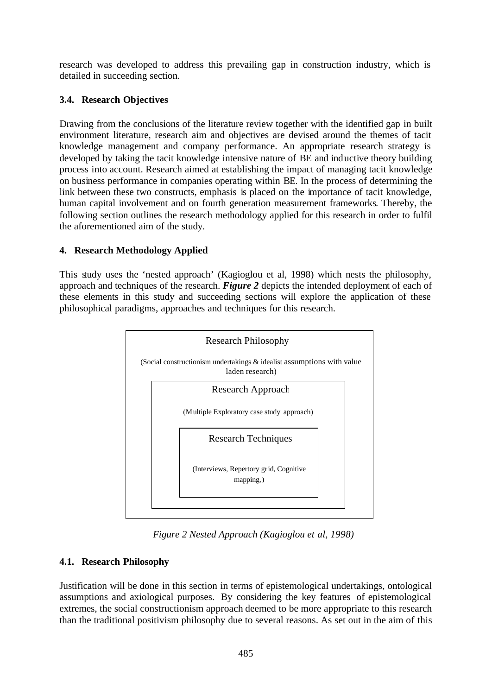research was developed to address this prevailing gap in construction industry, which is detailed in succeeding section.

### **3.4. Research Objectives**

Drawing from the conclusions of the literature review together with the identified gap in built environment literature, research aim and objectives are devised around the themes of tacit knowledge management and company performance. An appropriate research strategy is developed by taking the tacit knowledge intensive nature of BE and inductive theory building process into account. Research aimed at establishing the impact of managing tacit knowledge on business performance in companies operating within BE. In the process of determining the link between these two constructs, emphasis is placed on the importance of tacit knowledge, human capital involvement and on fourth generation measurement frameworks. Thereby, the following section outlines the research methodology applied for this research in order to fulfil the aforementioned aim of the study.

## **4. Research Methodology Applied**

This study uses the 'nested approach' (Kagioglou et al, 1998) which nests the philosophy, approach and techniques of the research. *Figure 2* depicts the intended deployment of each of these elements in this study and succeeding sections will explore the application of these philosophical paradigms, approaches and techniques for this research.



*Figure 2 Nested Approach (Kagioglou et al, 1998)*

## **4.1. Research Philosophy**

Justification will be done in this section in terms of epistemological undertakings, ontological assumptions and axiological purposes. By considering the key features of epistemological extremes, the social constructionism approach deemed to be more appropriate to this research than the traditional positivism philosophy due to several reasons. As set out in the aim of this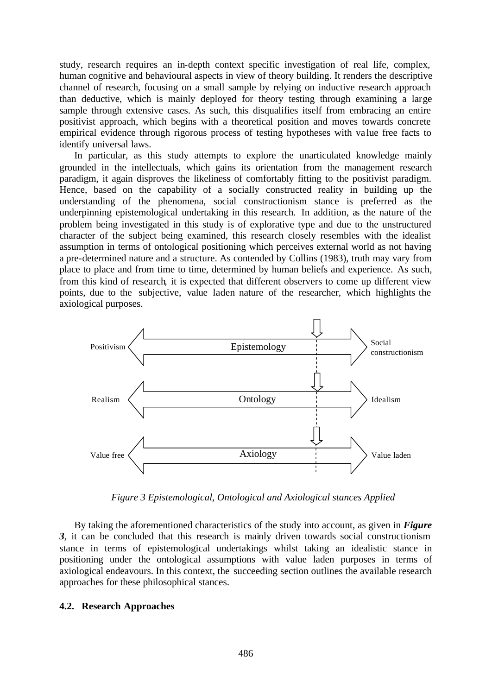study, research requires an in-depth context specific investigation of real life, complex, human cognitive and behavioural aspects in view of theory building. It renders the descriptive channel of research, focusing on a small sample by relying on inductive research approach than deductive, which is mainly deployed for theory testing through examining a large sample through extensive cases. As such, this disqualifies itself from embracing an entire positivist approach, which begins with a theoretical position and moves towards concrete empirical evidence through rigorous process of testing hypotheses with va lue free facts to identify universal laws.

In particular, as this study attempts to explore the unarticulated knowledge mainly grounded in the intellectuals, which gains its orientation from the management research paradigm, it again disproves the likeliness of comfortably fitting to the positivist paradigm. Hence, based on the capability of a socially constructed reality in building up the understanding of the phenomena, social constructionism stance is preferred as the underpinning epistemological undertaking in this research. In addition, as the nature of the problem being investigated in this study is of explorative type and due to the unstructured character of the subject being examined, this research closely resembles with the idealist assumption in terms of ontological positioning which perceives external world as not having a pre-determined nature and a structure. As contended by Collins (1983), truth may vary from place to place and from time to time, determined by human beliefs and experience. As such, from this kind of research, it is expected that different observers to come up different view points, due to the subjective, value laden nature of the researcher, which highlights the axiological purposes.



*Figure 3 Epistemological, Ontological and Axiological stances Applied*

By taking the aforementioned characteristics of the study into account, as given in *Figure 3*, it can be concluded that this research is mainly driven towards social constructionism stance in terms of epistemological undertakings whilst taking an idealistic stance in positioning under the ontological assumptions with value laden purposes in terms of axiological endeavours. In this context, the succeeding section outlines the available research approaches for these philosophical stances.

#### **4.2. Research Approaches**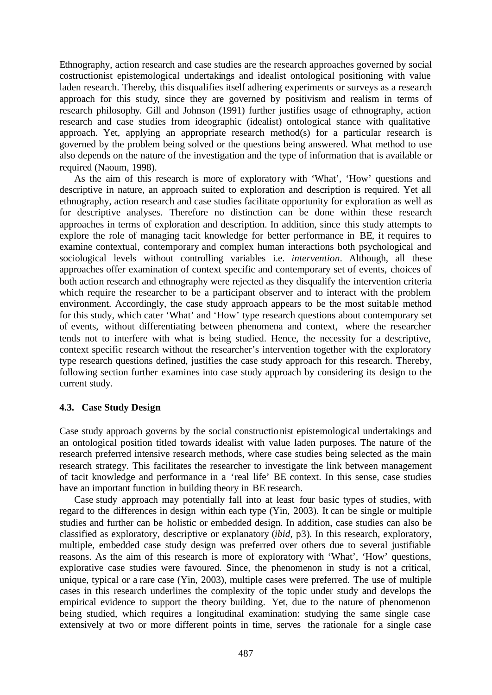Ethnography, action research and case studies are the research approaches governed by social costructionist epistemological undertakings and idealist ontological positioning with value laden research. Thereby, this disqualifies itself adhering experiments or surveys as a research approach for this study, since they are governed by positivism and realism in terms of research philosophy. Gill and Johnson (1991) further justifies usage of ethnography, action research and case studies from ideographic (idealist) ontological stance with qualitative approach. Yet, applying an appropriate research method(s) for a particular research is governed by the problem being solved or the questions being answered. What method to use also depends on the nature of the investigation and the type of information that is available or required (Naoum, 1998).

As the aim of this research is more of exploratory with 'What', 'How' questions and descriptive in nature, an approach suited to exploration and description is required. Yet all ethnography, action research and case studies facilitate opportunity for exploration as well as for descriptive analyses. Therefore no distinction can be done within these research approaches in terms of exploration and description. In addition, since this study attempts to explore the role of managing tacit knowledge for better performance in BE, it requires to examine contextual, contemporary and complex human interactions both psychological and sociological levels without controlling variables i.e. *intervention*. Although, all these approaches offer examination of context specific and contemporary set of events, choices of both action research and ethnography were rejected as they disqualify the intervention criteria which require the researcher to be a participant observer and to interact with the problem environment. Accordingly, the case study approach appears to be the most suitable method for this study, which cater 'What' and 'How' type research questions about contemporary set of events, without differentiating between phenomena and context, where the researcher tends not to interfere with what is being studied. Hence, the necessity for a descriptive, context specific research without the researcher's intervention together with the exploratory type research questions defined, justifies the case study approach for this research. Thereby, following section further examines into case study approach by considering its design to the current study.

#### **4.3. Case Study Design**

Case study approach governs by the social constructionist epistemological undertakings and an ontological position titled towards idealist with value laden purposes. The nature of the research preferred intensive research methods, where case studies being selected as the main research strategy. This facilitates the researcher to investigate the link between management of tacit knowledge and performance in a 'real life' BE context. In this sense, case studies have an important function in building theory in BE research.

Case study approach may potentially fall into at least four basic types of studies, with regard to the differences in design within each type (Yin, 2003). It can be single or multiple studies and further can be holistic or embedded design. In addition, case studies can also be classified as exploratory, descriptive or explanatory (*ibid*, p3). In this research, exploratory, multiple, embedded case study design was preferred over others due to several justifiable reasons. As the aim of this research is more of exploratory with 'What', 'How' questions, explorative case studies were favoured. Since, the phenomenon in study is not a critical, unique, typical or a rare case (Yin, 2003), multiple cases were preferred. The use of multiple cases in this research underlines the complexity of the topic under study and develops the empirical evidence to support the theory building. Yet, due to the nature of phenomenon being studied, which requires a longitudinal examination: studying the same single case extensively at two or more different points in time, serves the rationale for a single case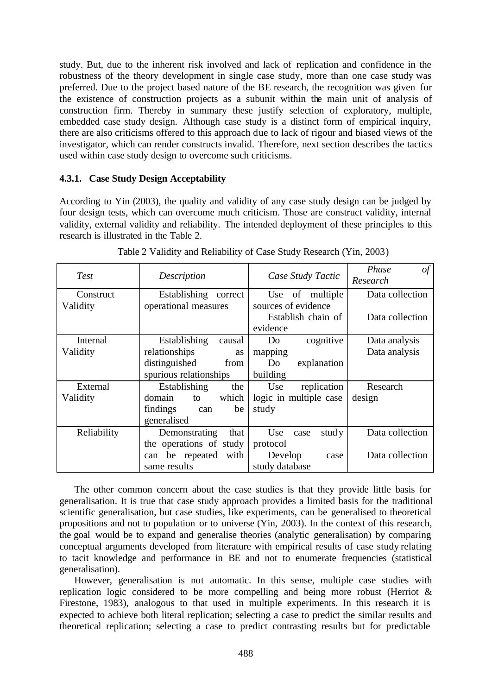study. But, due to the inherent risk involved and lack of replication and confidence in the robustness of the theory development in single case study, more than one case study was preferred. Due to the project based nature of the BE research, the recognition was given for the existence of construction projects as a subunit within the main unit of analysis of construction firm. Thereby in summary these justify selection of exploratory, multiple, embedded case study design. Although case study is a distinct form of empirical inquiry, there are also criticisms offered to this approach due to lack of rigour and biased views of the investigator, which can render constructs invalid. Therefore, next section describes the tactics used within case study design to overcome such criticisms.

#### **4.3.1. Case Study Design Acceptability**

According to Yin (2003), the quality and validity of any case study design can be judged by four design tests, which can overcome much criticism. Those are construct validity, internal validity, external validity and reliability. The intended deployment of these principles to this research is illustrated in the Table 2.

| <b>Test</b> | Description                | Case Study Tactic      | Phase<br>of<br>Research |
|-------------|----------------------------|------------------------|-------------------------|
| Construct   | Establishing<br>correct    | multiple<br>of<br>Use  | Data collection         |
| Validity    | operational measures       | sources of evidence    |                         |
|             |                            | Establish chain of     | Data collection         |
|             |                            | evidence               |                         |
| Internal    | Establishing<br>causal     | cognitive<br>Do        | Data analysis           |
| Validity    | relationships<br>as        | mapping                | Data analysis           |
|             | distinguished<br>from      | explanation<br>Do      |                         |
|             | spurious relationships     | building               |                         |
| External    | Establishing<br>the        | Use<br>replication     | Research                |
| Validity    | domain<br>which<br>to      | logic in multiple case | design                  |
|             | findings<br>be<br>can      | study                  |                         |
|             | generalised                |                        |                         |
| Reliability | Demonstrating<br>that      | stud y<br>Use<br>case  | Data collection         |
|             | the operations of<br>study | protocol               |                         |
|             | with<br>be repeated<br>can | Develop<br>case        | Data collection         |
|             | same results               | study database         |                         |

The other common concern about the case studies is that they provide little basis for generalisation. It is true that case study approach provides a limited basis for the traditional scientific generalisation, but case studies, like experiments, can be generalised to theoretical propositions and not to population or to universe (Yin, 2003). In the context of this research, the goal would be to expand and generalise theories (analytic generalisation) by comparing conceptual arguments developed from literature with empirical results of case study relating to tacit knowledge and performance in BE and not to enumerate frequencies (statistical generalisation).

However, generalisation is not automatic. In this sense, multiple case studies with replication logic considered to be more compelling and being more robust (Herriot & Firestone, 1983), analogous to that used in multiple experiments. In this research it is expected to achieve both literal replication; selecting a case to predict the similar results and theoretical replication; selecting a case to predict contrasting results but for predictable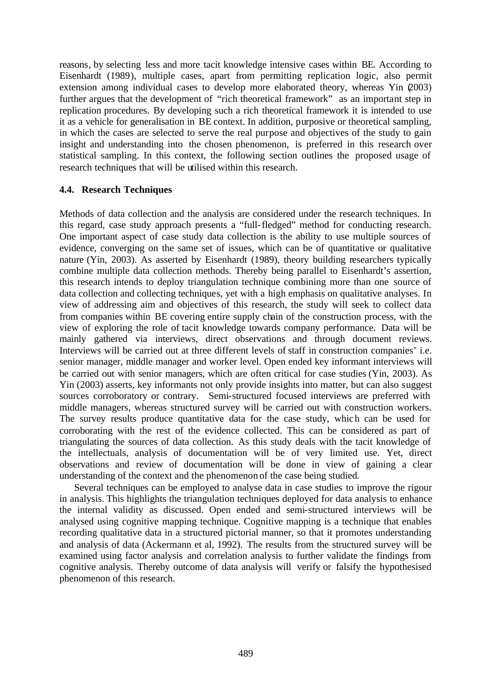reasons, by selecting less and more tacit knowledge intensive cases within BE. According to Eisenhardt (1989), multiple cases, apart from permitting replication logic, also permit extension among individual cases to develop more elaborated theory, whereas Yin (2003) further argues that the development of "rich theoretical framework" as an important step in replication procedures. By developing such a rich theoretical framework it is intended to use it as a vehicle for generalisation in BE context. In addition, purposive or theoretical sampling, in which the cases are selected to serve the real purpose and objectives of the study to gain insight and understanding into the chosen phenomenon, is preferred in this research over statistical sampling. In this context, the following section outlines the proposed usage of research techniques that will be utilised within this research.

#### **4.4. Research Techniques**

Methods of data collection and the analysis are considered under the research techniques. In this regard, case study approach presents a "full-fledged" method for conducting research. One important aspect of case study data collection is the ability to use multiple sources of evidence, converging on the same set of issues, which can be of quantitative or qualitative nature (Yin, 2003). As asserted by Eisenhardt (1989), theory building researchers typically combine multiple data collection methods. Thereby being parallel to Eisenhardt's assertion, this research intends to deploy triangulation technique combining more than one source of data collection and collecting techniques, yet with a high emphasis on qualitative analyses. In view of addressing aim and objectives of this research, the study will seek to collect data from companies within BE covering entire supply chain of the construction process, with the view of exploring the role of tacit knowledge towards company performance. Data will be mainly gathered via interviews, direct observations and through document reviews. Interviews will be carried out at three different levels of staff in construction companies' i.e. senior manager, middle manager and worker level. Open ended key informant interviews will be carried out with senior managers, which are often critical for case studies (Yin, 2003). As Yin (2003) asserts, key informants not only provide insights into matter, but can also suggest sources corroboratory or contrary. Semi-structured focused interviews are preferred with middle managers, whereas structured survey will be carried out with construction workers. The survey results produce quantitative data for the case study, which can be used for corroborating with the rest of the evidence collected. This can be considered as part of triangulating the sources of data collection. As this study deals with the tacit knowledge of the intellectuals, analysis of documentation will be of very limited use. Yet, direct observations and review of documentation will be done in view of gaining a clear understanding of the context and the phenomenon of the case being studied.

Several techniques can be employed to analyse data in case studies to improve the rigour in analysis. This highlights the triangulation techniques deployed for data analysis to enhance the internal validity as discussed. Open ended and semi-structured interviews will be analysed using cognitive mapping technique. Cognitive mapping is a technique that enables recording qualitative data in a structured pictorial manner, so that it promotes understanding and analysis of data (Ackermann et al, 1992). The results from the structured survey will be examined using factor analysis and correlation analysis to further validate the findings from cognitive analysis. Thereby outcome of data analysis will verify or falsify the hypothesised phenomenon of this research.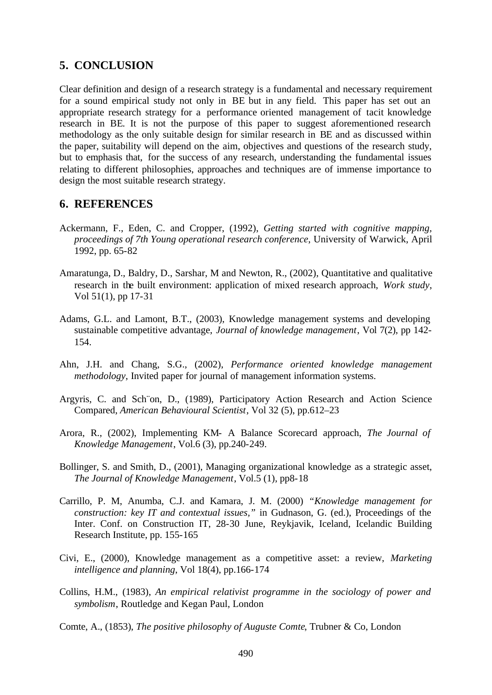## **5. CONCLUSION**

Clear definition and design of a research strategy is a fundamental and necessary requirement for a sound empirical study not only in BE but in any field. This paper has set out an appropriate research strategy for a performance oriented management of tacit knowledge research in BE. It is not the purpose of this paper to suggest aforementioned research methodology as the only suitable design for similar research in BE and as discussed within the paper, suitability will depend on the aim, objectives and questions of the research study, but to emphasis that, for the success of any research, understanding the fundamental issues relating to different philosophies, approaches and techniques are of immense importance to design the most suitable research strategy.

### **6. REFERENCES**

- Ackermann, F., Eden, C. and Cropper, (1992), *Getting started with cognitive mapping, proceedings of 7th Young operational research conference*, University of Warwick, April 1992, pp. 65-82
- Amaratunga, D., Baldry, D., Sarshar, M and Newton, R., (2002), Quantitative and qualitative research in the built environment: application of mixed research approach, *Work study*, Vol 51(1), pp 17-31
- Adams, G.L. and Lamont, B.T., (2003), Knowledge management systems and developing sustainable competitive advantage, *Journal of knowledge management*, Vol 7(2), pp 142- 154.
- Ahn, J.H. and Chang, S.G., (2002), *Performance oriented knowledge management methodology*, Invited paper for journal of management information systems.
- Argyris, C. and Sch¨on, D., (1989), Participatory Action Research and Action Science Compared, *American Behavioural Scientist*, Vol 32 (5), pp.612–23
- Arora, R., (2002), Implementing KM- A Balance Scorecard approach, *The Journal of Knowledge Management*, Vol.6 (3), pp.240-249.
- Bollinger, S. and Smith, D., (2001), Managing organizational knowledge as a strategic asset, *The Journal of Knowledge Management*, Vol.5 (1), pp8-18
- Carrillo, P. M, Anumba, C.J. and Kamara, J. M. (2000) *"Knowledge management for construction: key IT and contextual issues,"* in Gudnason, G. (ed.), Proceedings of the Inter. Conf. on Construction IT, 28-30 June, Reykjavik, Iceland, Icelandic Building Research Institute, pp. 155-165
- Civi, E., (2000), Knowledge management as a competitive asset: a review, *Marketing intelligence and planning*, Vol 18(4), pp.166-174
- Collins, H.M., (1983), *An empirical relativist programme in the sociology of power and symbolism*, Routledge and Kegan Paul, London
- Comte, A., (1853), *The positive philosophy of Auguste Comte*, Trubner & Co, London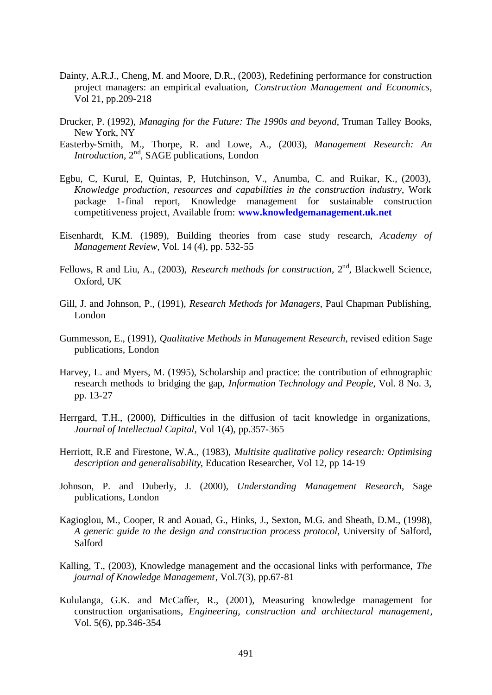- Dainty, A.R.J., Cheng, M. and Moore, D.R., (2003), Redefining performance for construction project managers: an empirical evaluation, *Construction Management and Economics*, Vol 21, pp.209-218
- Drucker, P. (1992), *Managing for the Future: The 1990s and beyond*, Truman Talley Books, New York, NY
- Easterby-Smith, M., Thorpe, R. and Lowe, A., (2003), *Management Research: An Introduction*, 2<sup>nd</sup>, SAGE publications, London
- Egbu, C, Kurul, E, Quintas, P, Hutchinson, V., Anumba, C. and Ruikar, K., (2003), *Knowledge production, resources and capabilities in the construction industry*, Work package 1-final report, Knowledge management for sustainable construction competitiveness project, Available from: **www.knowledgemanagement.uk.net**
- Eisenhardt, K.M. (1989), Building theories from case study research, *Academy of Management Review*, Vol. 14 (4), pp. 532-55
- Fellows, R and Liu, A., (2003), *Research methods for construction*, 2<sup>nd</sup>, Blackwell Science, Oxford, UK
- Gill, J. and Johnson, P., (1991), *Research Methods for Managers*, Paul Chapman Publishing, London
- Gummesson, E., (1991), *Qualitative Methods in Management Research*, revised edition Sage publications, London
- Harvey, L. and Myers, M. (1995), Scholarship and practice: the contribution of ethnographic research methods to bridging the gap, *Information Technology and People*, Vol. 8 No. 3, pp. 13-27
- Herrgard, T.H., (2000), Difficulties in the diffusion of tacit knowledge in organizations, *Journal of Intellectual Capital*, Vol 1(4), pp.357-365
- Herriott, R.E and Firestone, W.A., (1983), *Multisite qualitative policy research: Optimising description and generalisability*, Education Researcher, Vol 12, pp 14-19
- Johnson, P. and Duberly, J. (2000), *Understanding Management Research*, Sage publications, London
- Kagioglou, M., Cooper, R and Aouad, G., Hinks, J., Sexton, M.G. and Sheath, D.M., (1998), *A generic guide to the design and construction process protocol*, University of Salford, Salford
- Kalling, T., (2003), Knowledge management and the occasional links with performance, *The journal of Knowledge Management*, Vol.7(3), pp.67-81
- Kululanga, G.K. and McCaffer, R., (2001), Measuring knowledge management for construction organisations, *Engineering, construction and architectural management*, Vol. 5(6), pp.346-354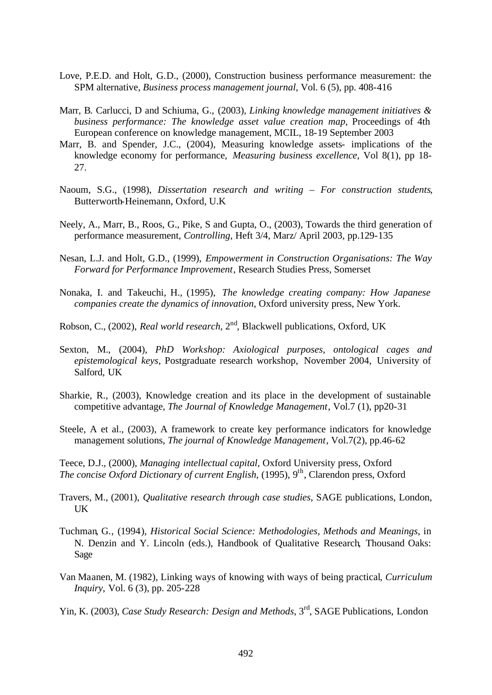- Love, P.E.D. and Holt, G.D., (2000), Construction business performance measurement: the SPM alternative, *Business process management journal*, Vol. 6 (5), pp. 408-416
- Marr, B. Carlucci, D and Schiuma, G., (2003), *Linking knowledge management initiatives & business performance: The knowledge asset value creation map*, Proceedings of 4th European conference on knowledge management, MCIL, 18-19 September 2003
- Marr, B. and Spender, J.C., (2004), Measuring knowledge assets- implications of the knowledge economy for performance, *Measuring business excellence*, Vol 8(1), pp 18- 27.
- Naoum, S.G., (1998), *Dissertation research and writing For construction students*, Butterworth-Heinemann, Oxford, U.K
- Neely, A., Marr, B., Roos, G., Pike, S and Gupta, O., (2003), Towards the third generation of performance measurement, *Controlling*, Heft 3/4, Marz/ April 2003, pp.129-135
- Nesan, L.J. and Holt, G.D., (1999), *Empowerment in Construction Organisations: The Way Forward for Performance Improvement*, Research Studies Press, Somerset
- Nonaka, I. and Takeuchi, H., (1995), *The knowledge creating company: How Japanese companies create the dynamics of innovation*, Oxford university press, New York.
- Robson, C., (2002), *Real world research*, 2nd, Blackwell publications, Oxford, UK
- Sexton, M., (2004), *PhD Workshop: Axiological purposes, ontological cages and epistemological keys*, Postgraduate research workshop, November 2004, University of Salford, UK
- Sharkie, R., (2003), Knowledge creation and its place in the development of sustainable competitive advantage, *The Journal of Knowledge Management*, Vol.7 (1), pp20-31
- Steele, A et al., (2003), A framework to create key performance indicators for knowledge management solutions, *The journal of Knowledge Management*, Vol.7(2), pp.46-62
- Teece, D.J., (2000), *Managing intellectual capital*, Oxford University press, Oxford *The concise Oxford Dictionary of current English*, (1995), 9<sup>th</sup>, Clarendon press, Oxford
- Travers, M., (2001), *Qualitative research through case studies*, SAGE publications, London, UK
- Tuchman, G., (1994), *Historical Social Science: Methodologies, Methods and Meanings*, in N. Denzin and Y. Lincoln (eds.), Handbook of Qualitative Research, Thousand Oaks: Sage
- Van Maanen, M. (1982), Linking ways of knowing with ways of being practical*, Curriculum Inquiry*, Vol. 6 (3), pp. 205-228
- Yin, K. (2003), *Case Study Research: Design and Methods*, 3<sup>rd</sup>, SAGE Publications, London